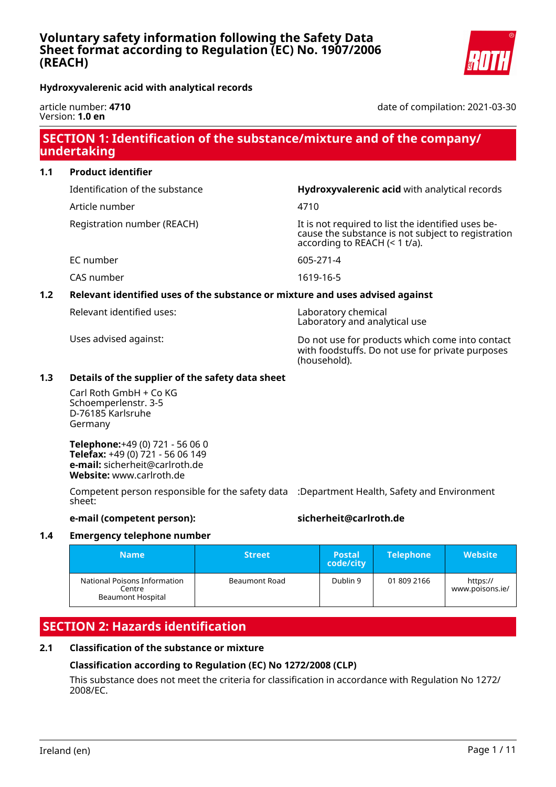date of compilation: 2021-03-30

**Hydroxyvalerenic acid with analytical records**

article number: **4710** Version: **1.0 en**

## **SECTION 1: Identification of the substance/mixture and of the company/ undertaking**

| 1.1 | <b>Product identifier</b> |
|-----|---------------------------|
|     |                           |

Article number 4710

Identification of the substance **Hydroxyvalerenic acid** with analytical records

Registration number (REACH) It is not required to list the identified uses because the substance is not subject to registration according to REACH (< 1 t/a).

EC number 605-271-4

CAS number 1619-16-5

## **1.2 Relevant identified uses of the substance or mixture and uses advised against**

Relevant identified uses: Laboratory chemical

Laboratory and analytical use

Uses advised against: Do not use for products which come into contact with foodstuffs. Do not use for private purposes (household).

### **1.3 Details of the supplier of the safety data sheet**

Carl Roth GmbH + Co KG Schoemperlenstr. 3-5 D-76185 Karlsruhe Germany

**Telephone:**+49 (0) 721 - 56 06 0 **Telefax:** +49 (0) 721 - 56 06 149 **e-mail:** sicherheit@carlroth.de **Website:** www.carlroth.de

Competent person responsible for the safety data :Department Health, Safety and Environment sheet:

### **e-mail (competent person): sicherheit@carlroth.de**

### **1.4 Emergency telephone number**

| <b>Name</b>                                                        | <b>Street</b>        | <b>Postal</b><br>code/city | <b>Telephone</b> | <b>Website</b>              |
|--------------------------------------------------------------------|----------------------|----------------------------|------------------|-----------------------------|
| National Poisons Information<br>Centre<br><b>Beaumont Hospital</b> | <b>Beaumont Road</b> | Dublin 9                   | 01 809 2166      | https://<br>www.poisons.ie/ |

## **SECTION 2: Hazards identification**

### **2.1 Classification of the substance or mixture**

## **Classification according to Regulation (EC) No 1272/2008 (CLP)**

This substance does not meet the criteria for classification in accordance with Regulation No 1272/ 2008/EC.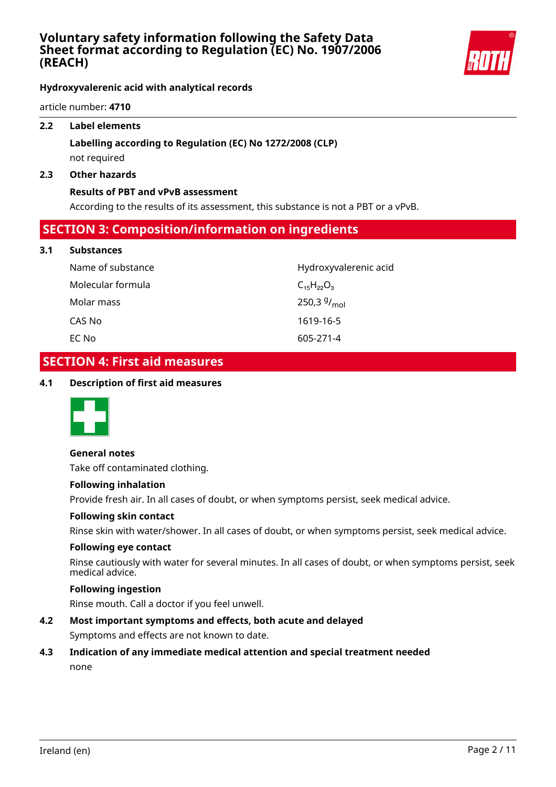

**Hydroxyvalerenic acid with analytical records**

article number: **4710**

### **2.2 Label elements**

## **Labelling according to Regulation (EC) No 1272/2008 (CLP)** not required

#### **2.3 Other hazards**

#### **Results of PBT and vPvB assessment**

According to the results of its assessment, this substance is not a PBT or a vPvB.

## **SECTION 3: Composition/information on ingredients**

#### **3.1 Substances**

| Name of substance | Hydroxyvalerenic acid     |
|-------------------|---------------------------|
| Molecular formula | $C_{15}H_{22}O_3$         |
| Molar mass        | 250,3 $9/$ <sub>mol</sub> |
| CAS No            | 1619-16-5                 |
| EC No             | 605-271-4                 |

## **SECTION 4: First aid measures**

### **4.1 Description of first aid measures**



#### **General notes**

Take off contaminated clothing.

#### **Following inhalation**

Provide fresh air. In all cases of doubt, or when symptoms persist, seek medical advice.

#### **Following skin contact**

Rinse skin with water/shower. In all cases of doubt, or when symptoms persist, seek medical advice.

#### **Following eye contact**

Rinse cautiously with water for several minutes. In all cases of doubt, or when symptoms persist, seek medical advice.

### **Following ingestion**

Rinse mouth. Call a doctor if you feel unwell.

### **4.2 Most important symptoms and effects, both acute and delayed**

Symptoms and effects are not known to date.

# **4.3 Indication of any immediate medical attention and special treatment needed**

none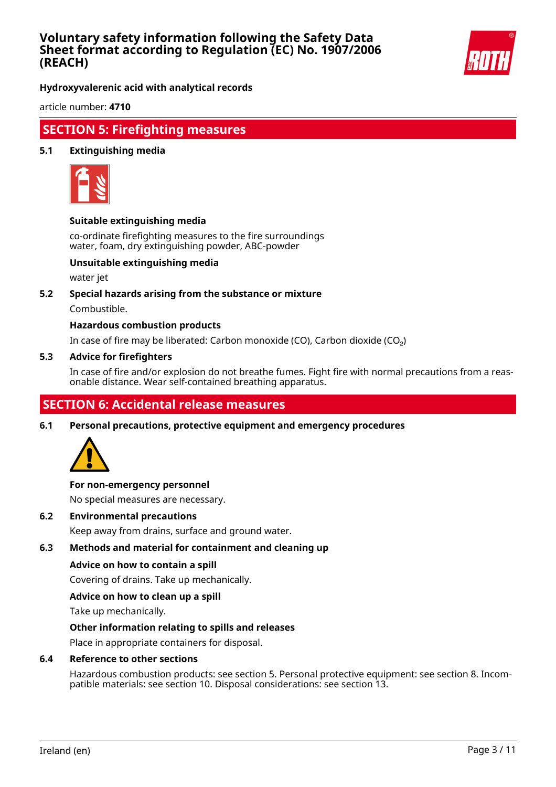

**Hydroxyvalerenic acid with analytical records**

article number: **4710**

## **SECTION 5: Firefighting measures**

### **5.1 Extinguishing media**



### **Suitable extinguishing media**

co-ordinate firefighting measures to the fire surroundings water, foam, dry extinguishing powder, ABC-powder

### **Unsuitable extinguishing media**

water jet

### **5.2 Special hazards arising from the substance or mixture**

Combustible.

### **Hazardous combustion products**

In case of fire may be liberated: Carbon monoxide (CO), Carbon dioxide (CO₂)

#### **5.3 Advice for firefighters**

In case of fire and/or explosion do not breathe fumes. Fight fire with normal precautions from a reasonable distance. Wear self-contained breathing apparatus.

## **SECTION 6: Accidental release measures**

**6.1 Personal precautions, protective equipment and emergency procedures**



### **For non-emergency personnel**

No special measures are necessary.

**6.2 Environmental precautions**

Keep away from drains, surface and ground water.

### **6.3 Methods and material for containment and cleaning up**

### **Advice on how to contain a spill**

Covering of drains. Take up mechanically.

### **Advice on how to clean up a spill**

Take up mechanically.

### **Other information relating to spills and releases**

Place in appropriate containers for disposal.

### **6.4 Reference to other sections**

Hazardous combustion products: see section 5. Personal protective equipment: see section 8. Incompatible materials: see section 10. Disposal considerations: see section 13.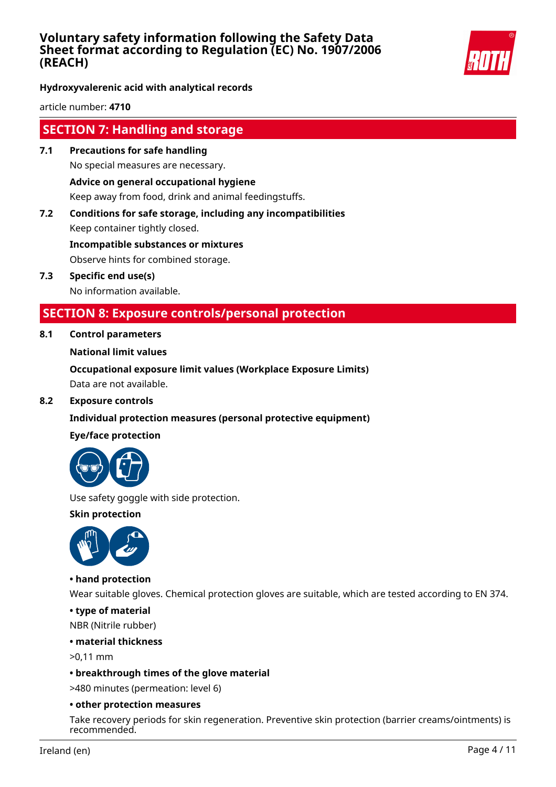

**Hydroxyvalerenic acid with analytical records**

article number: **4710**

## **SECTION 7: Handling and storage**

- **7.1 Precautions for safe handling** No special measures are necessary. **Advice on general occupational hygiene** Keep away from food, drink and animal feedingstuffs.
- **7.2 Conditions for safe storage, including any incompatibilities** Keep container tightly closed. **Incompatible substances or mixtures**

Observe hints for combined storage.

**7.3 Specific end use(s)** No information available.

## **SECTION 8: Exposure controls/personal protection**

### **8.1 Control parameters**

### **National limit values**

**Occupational exposure limit values (Workplace Exposure Limits)** Data are not available.

**8.2 Exposure controls**

### **Individual protection measures (personal protective equipment)**

### **Eye/face protection**



Use safety goggle with side protection.

**Skin protection**



### **• hand protection**

Wear suitable gloves. Chemical protection gloves are suitable, which are tested according to EN 374.

**• type of material**

NBR (Nitrile rubber)

### **• material thickness**

>0,11 mm

### **• breakthrough times of the glove material**

>480 minutes (permeation: level 6)

### **• other protection measures**

Take recovery periods for skin regeneration. Preventive skin protection (barrier creams/ointments) is recommended.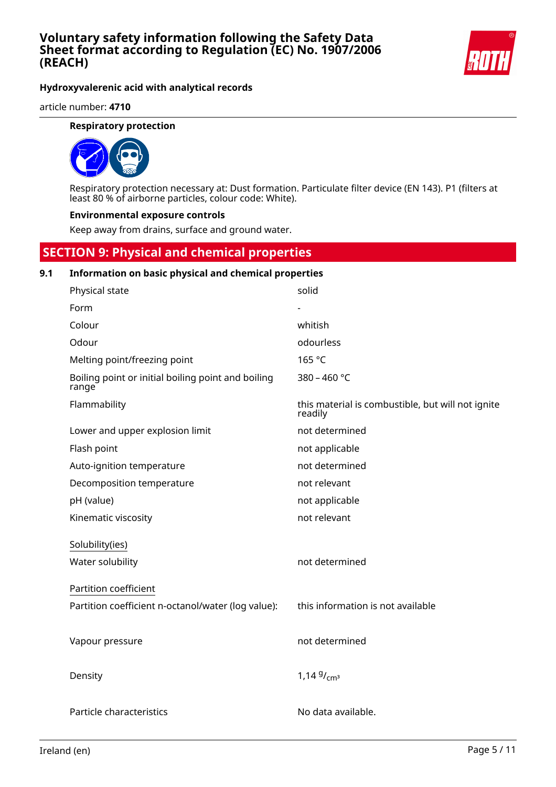

**Hydroxyvalerenic acid with analytical records**

article number: **4710**

### **Respiratory protection**



Respiratory protection necessary at: Dust formation. Particulate filter device (EN 143). P1 (filters at least 80 % of airborne particles, colour code: White).

#### **Environmental exposure controls**

Keep away from drains, surface and ground water.

## **SECTION 9: Physical and chemical properties**

#### **9.1 Information on basic physical and chemical properties**

| Physical state                                              | solid                                                        |
|-------------------------------------------------------------|--------------------------------------------------------------|
| Form                                                        |                                                              |
| Colour                                                      | whitish                                                      |
| Odour                                                       | odourless                                                    |
| Melting point/freezing point                                | 165 °C                                                       |
| Boiling point or initial boiling point and boiling<br>range | 380 - 460 °C                                                 |
| Flammability                                                | this material is combustible, but will not ignite<br>readily |
| Lower and upper explosion limit                             | not determined                                               |
| Flash point                                                 | not applicable                                               |
| Auto-ignition temperature                                   | not determined                                               |
| Decomposition temperature                                   | not relevant                                                 |
| pH (value)                                                  | not applicable                                               |
| Kinematic viscosity                                         | not relevant                                                 |
| Solubility(ies)                                             |                                                              |
| Water solubility                                            | not determined                                               |
| Partition coefficient                                       |                                                              |
| Partition coefficient n-octanol/water (log value):          | this information is not available                            |
|                                                             |                                                              |
| Vapour pressure                                             | not determined                                               |
| Density                                                     | 1,14 $9/cm^3$                                                |
| Particle characteristics                                    | No data available.                                           |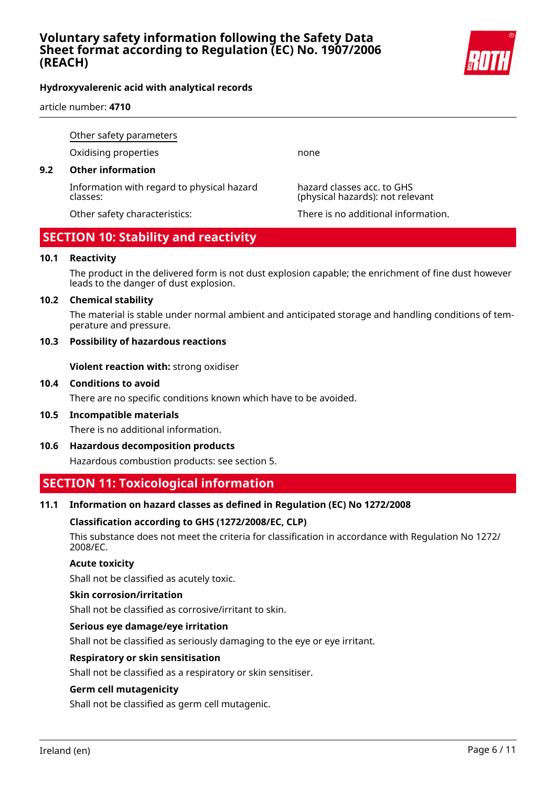

### **Hydroxyvalerenic acid with analytical records**

article number: **4710**

Other safety parameters

Oxidising properties none

### **9.2 Other information**

Information with regard to physical hazard classes:

hazard classes acc. to GHS (physical hazards): not relevant

Other safety characteristics: There is no additional information.

## **SECTION 10: Stability and reactivity**

### **10.1 Reactivity**

The product in the delivered form is not dust explosion capable; the enrichment of fine dust however leads to the danger of dust explosion.

### **10.2 Chemical stability**

The material is stable under normal ambient and anticipated storage and handling conditions of temperature and pressure.

### **10.3 Possibility of hazardous reactions**

**Violent reaction with:** strong oxidiser

### **10.4 Conditions to avoid**

There are no specific conditions known which have to be avoided.

**10.5 Incompatible materials**

There is no additional information.

**10.6 Hazardous decomposition products**

Hazardous combustion products: see section 5.

## **SECTION 11: Toxicological information**

### **11.1 Information on hazard classes as defined in Regulation (EC) No 1272/2008**

### **Classification according to GHS (1272/2008/EC, CLP)**

This substance does not meet the criteria for classification in accordance with Regulation No 1272/ 2008/EC.

### **Acute toxicity**

Shall not be classified as acutely toxic.

### **Skin corrosion/irritation**

Shall not be classified as corrosive/irritant to skin.

### **Serious eye damage/eye irritation**

Shall not be classified as seriously damaging to the eye or eye irritant.

### **Respiratory or skin sensitisation**

Shall not be classified as a respiratory or skin sensitiser.

### **Germ cell mutagenicity**

Shall not be classified as germ cell mutagenic.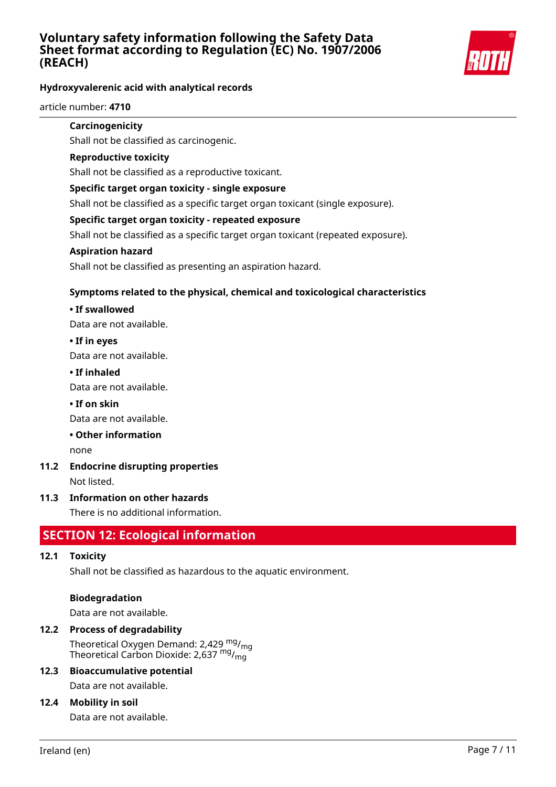

### **Hydroxyvalerenic acid with analytical records**

article number: **4710**

### **Carcinogenicity**

Shall not be classified as carcinogenic.

### **Reproductive toxicity**

Shall not be classified as a reproductive toxicant.

### **Specific target organ toxicity - single exposure**

Shall not be classified as a specific target organ toxicant (single exposure).

### **Specific target organ toxicity - repeated exposure**

Shall not be classified as a specific target organ toxicant (repeated exposure).

### **Aspiration hazard**

Shall not be classified as presenting an aspiration hazard.

### **Symptoms related to the physical, chemical and toxicological characteristics**

### **• If swallowed**

Data are not available.

### **• If in eyes**

Data are not available.

### **• If inhaled**

Data are not available.

### **• If on skin**

Data are not available.

### **• Other information**

none

### **11.2 Endocrine disrupting properties**

Not listed.

### **11.3 Information on other hazards**

There is no additional information.

## **SECTION 12: Ecological information**

### **12.1 Toxicity**

Shall not be classified as hazardous to the aquatic environment.

### **Biodegradation**

Data are not available.

### **12.2 Process of degradability**

Theoretical Oxygen Demand: 2,429  $mg/m<sub>0</sub>$ Theoretical Carbon Dioxide: 2,637 mg/<sub>mg</sub>

### **12.3 Bioaccumulative potential** Data are not available.

## **12.4 Mobility in soil**

Data are not available.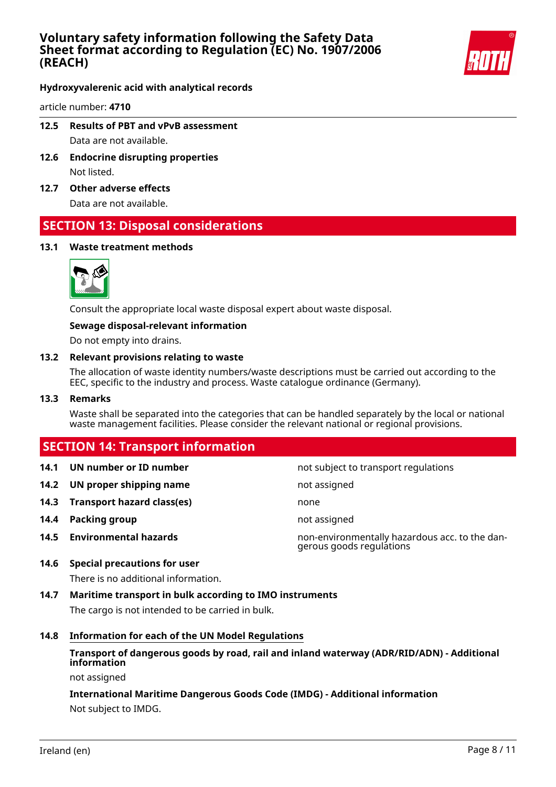

**Hydroxyvalerenic acid with analytical records**

article number: **4710**

- **12.5 Results of PBT and vPvB assessment** Data are not available.
- **12.6 Endocrine disrupting properties** Not listed.
- **12.7 Other adverse effects**

Data are not available.

## **SECTION 13: Disposal considerations**

### **13.1 Waste treatment methods**



Consult the appropriate local waste disposal expert about waste disposal.

#### **Sewage disposal-relevant information**

Do not empty into drains.

#### **13.2 Relevant provisions relating to waste**

The allocation of waste identity numbers/waste descriptions must be carried out according to the EEC, specific to the industry and process. Waste catalogue ordinance (Germany).

#### **13.3 Remarks**

Waste shall be separated into the categories that can be handled separately by the local or national waste management facilities. Please consider the relevant national or regional provisions.

## **SECTION 14: Transport information**

- 
- **14.2 UN proper shipping name** not assigned
- **14.3 Transport hazard class(es)** none
- **14.4 Packing group not assigned**
- 

**14.1 UN number or ID number 14.1 UN number** not subject to transport regulations

**14.5 Environmental hazards** non-environmentally hazardous acc. to the dangerous goods regulations

### **14.6 Special precautions for user**

There is no additional information.

**14.7 Maritime transport in bulk according to IMO instruments**

The cargo is not intended to be carried in bulk.

### **14.8 Information for each of the UN Model Regulations**

### **Transport of dangerous goods by road, rail and inland waterway (ADR/RID/ADN) - Additional information**

not assigned

### **International Maritime Dangerous Goods Code (IMDG) - Additional information** Not subject to IMDG.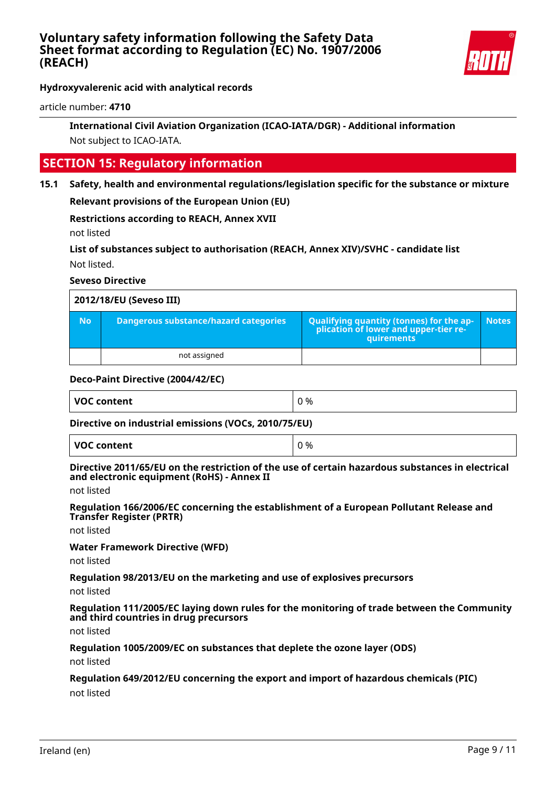

**Hydroxyvalerenic acid with analytical records**

article number: **4710**

### **International Civil Aviation Organization (ICAO-IATA/DGR) - Additional information** Not subject to ICAO-IATA.

## **SECTION 15: Regulatory information**

**15.1 Safety, health and environmental regulations/legislation specific for the substance or mixture**

**Relevant provisions of the European Union (EU)**

**Restrictions according to REACH, Annex XVII**

not listed

**List of substances subject to authorisation (REACH, Annex XIV)/SVHC - candidate list** Not listed.

### **Seveso Directive**

| 2012/18/EU (Seveso III) |                                       |                                                                                                 |              |
|-------------------------|---------------------------------------|-------------------------------------------------------------------------------------------------|--------------|
| <b>No</b>               | Dangerous substance/hazard categories | Qualifying quantity (tonnes) for the ap-<br>plication of lower and upper-tier re-<br>quirements | <b>Notes</b> |
|                         | not assigned                          |                                                                                                 |              |

### **Deco-Paint Directive (2004/42/EC)**

| <b>VOC content</b> | 0 % |
|--------------------|-----|
|                    |     |

### **Directive on industrial emissions (VOCs, 2010/75/EU)**

| <b>VOC content</b> | 0% |
|--------------------|----|
|--------------------|----|

#### **Directive 2011/65/EU on the restriction of the use of certain hazardous substances in electrical and electronic equipment (RoHS) - Annex II**

not listed

**Regulation 166/2006/EC concerning the establishment of a European Pollutant Release and Transfer Register (PRTR)**

not listed

**Water Framework Directive (WFD)**

not listed

**Regulation 98/2013/EU on the marketing and use of explosives precursors**

not listed

**Regulation 111/2005/EC laying down rules for the monitoring of trade between the Community and third countries in drug precursors**

not listed

**Regulation 1005/2009/EC on substances that deplete the ozone layer (ODS)**

not listed

### **Regulation 649/2012/EU concerning the export and import of hazardous chemicals (PIC)**

not listed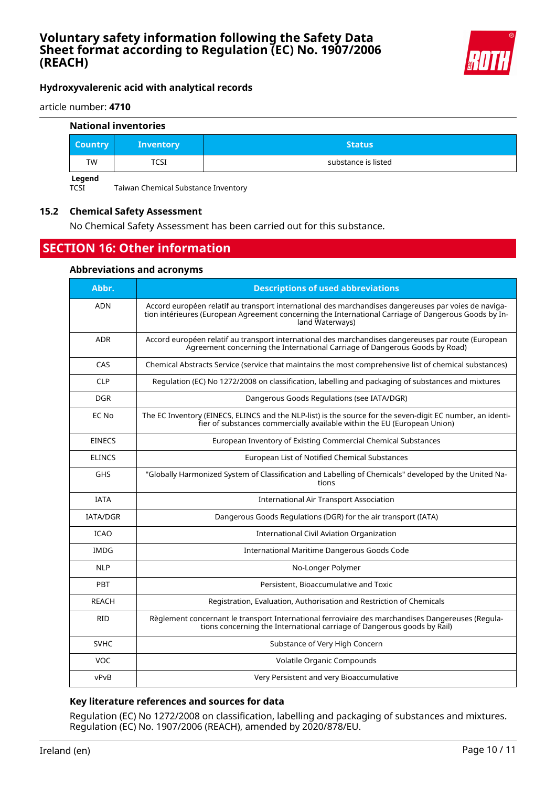

### **Hydroxyvalerenic acid with analytical records**

article number: **4710**

#### **National inventories**

| <b>Country</b> | <b>Inventory</b> | <b>Status</b>       |
|----------------|------------------|---------------------|
| TW             | TCSI             | substance is listed |
| Legend         |                  |                     |

TCSI Taiwan Chemical Substance Inventory

### **15.2 Chemical Safety Assessment**

No Chemical Safety Assessment has been carried out for this substance.

## **SECTION 16: Other information**

#### **Abbreviations and acronyms**

| Abbr.           | <b>Descriptions of used abbreviations</b>                                                                                                                                                                                       |
|-----------------|---------------------------------------------------------------------------------------------------------------------------------------------------------------------------------------------------------------------------------|
| <b>ADN</b>      | Accord européen relatif au transport international des marchandises dangereuses par voies de naviga-<br>tion intérieures (European Agreement concerning the International Carriage of Dangerous Goods by In-<br>land Waterways) |
| <b>ADR</b>      | Accord européen relatif au transport international des marchandises dangereuses par route (European<br>Agreement concerning the International Carriage of Dangerous Goods by Road)                                              |
| CAS             | Chemical Abstracts Service (service that maintains the most comprehensive list of chemical substances)                                                                                                                          |
| <b>CLP</b>      | Regulation (EC) No 1272/2008 on classification, labelling and packaging of substances and mixtures                                                                                                                              |
| <b>DGR</b>      | Dangerous Goods Regulations (see IATA/DGR)                                                                                                                                                                                      |
| EC No           | The EC Inventory (EINECS, ELINCS and the NLP-list) is the source for the seven-digit EC number, an identi-<br>fier of substances commercially available within the EU (European Union)                                          |
| <b>EINECS</b>   | European Inventory of Existing Commercial Chemical Substances                                                                                                                                                                   |
| <b>ELINCS</b>   | European List of Notified Chemical Substances                                                                                                                                                                                   |
| <b>GHS</b>      | "Globally Harmonized System of Classification and Labelling of Chemicals" developed by the United Na-<br>tions                                                                                                                  |
| <b>IATA</b>     | <b>International Air Transport Association</b>                                                                                                                                                                                  |
| <b>IATA/DGR</b> | Dangerous Goods Regulations (DGR) for the air transport (IATA)                                                                                                                                                                  |
| <b>ICAO</b>     | <b>International Civil Aviation Organization</b>                                                                                                                                                                                |
| <b>IMDG</b>     | International Maritime Dangerous Goods Code                                                                                                                                                                                     |
| <b>NLP</b>      | No-Longer Polymer                                                                                                                                                                                                               |
| PBT             | Persistent, Bioaccumulative and Toxic                                                                                                                                                                                           |
| REACH           | Registration, Evaluation, Authorisation and Restriction of Chemicals                                                                                                                                                            |
| <b>RID</b>      | Règlement concernant le transport International ferroviaire des marchandises Dangereuses (Regula-<br>tions concerning the International carriage of Dangerous goods by Rail)                                                    |
| <b>SVHC</b>     | Substance of Very High Concern                                                                                                                                                                                                  |
| <b>VOC</b>      | Volatile Organic Compounds                                                                                                                                                                                                      |
| vPvB            | Very Persistent and very Bioaccumulative                                                                                                                                                                                        |

### **Key literature references and sources for data**

Regulation (EC) No 1272/2008 on classification, labelling and packaging of substances and mixtures. Regulation (EC) No. 1907/2006 (REACH), amended by 2020/878/EU.